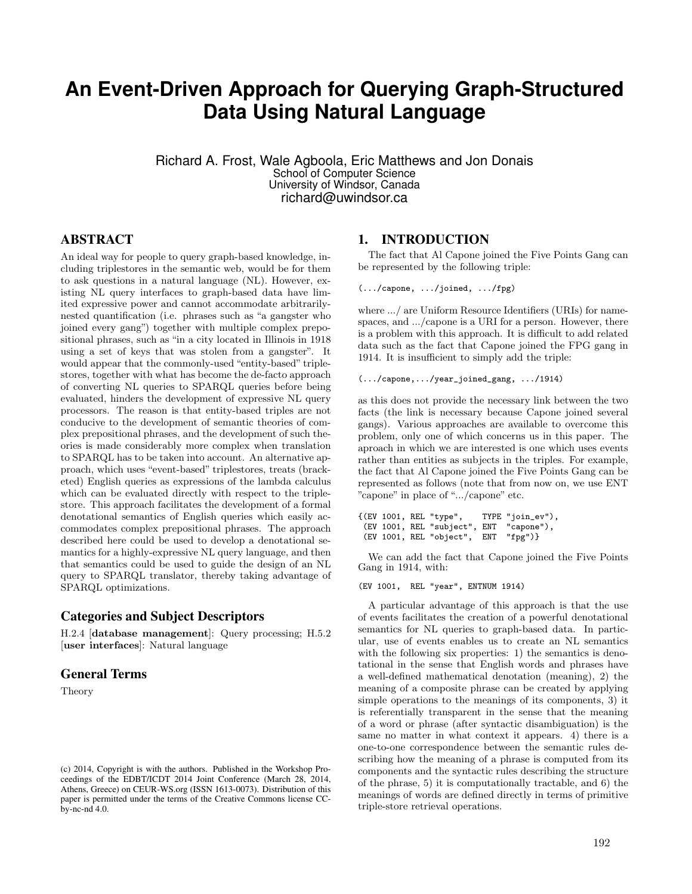# **An Event-Driven Approach for Querying Graph-Structured Data Using Natural Language**

Richard A. Frost, Wale Agboola, Eric Matthews and Jon Donais School of Computer Science University of Windsor, Canada richard@uwindsor.ca

# ABSTRACT

An ideal way for people to query graph-based knowledge, including triplestores in the semantic web, would be for them to ask questions in a natural language (NL). However, existing NL query interfaces to graph-based data have limited expressive power and cannot accommodate arbitrarilynested quantification (i.e. phrases such as "a gangster who joined every gang") together with multiple complex prepositional phrases, such as "in a city located in Illinois in 1918 using a set of keys that was stolen from a gangster". It would appear that the commonly-used "entity-based" triplestores, together with what has become the de-facto approach of converting NL queries to SPARQL queries before being evaluated, hinders the development of expressive NL query processors. The reason is that entity-based triples are not conducive to the development of semantic theories of complex prepositional phrases, and the development of such theories is made considerably more complex when translation to SPARQL has to be taken into account. An alternative approach, which uses "event-based" triplestores, treats (bracketed) English queries as expressions of the lambda calculus which can be evaluated directly with respect to the triplestore. This approach facilitates the development of a formal denotational semantics of English queries which easily accommodates complex prepositional phrases. The approach described here could be used to develop a denotational semantics for a highly-expressive NL query language, and then that semantics could be used to guide the design of an NL query to SPARQL translator, thereby taking advantage of SPARQL optimizations.

### Categories and Subject Descriptors

H.2.4 [database management]: Query processing; H.5.2 [user interfaces]: Natural language

### General Terms

Theory

### 1. INTRODUCTION

The fact that Al Capone joined the Five Points Gang can be represented by the following triple:

(.../capone, .../joined, .../fpg)

where  $\ldots$  are Uniform Resource Identifiers (URIs) for namespaces, and .../capone is a URI for a person. However, there is a problem with this approach. It is difficult to add related data such as the fact that Capone joined the FPG gang in 1914. It is insufficient to simply add the triple:

#### (.../capone,.../year\_joined\_gang, .../1914)

as this does not provide the necessary link between the two facts (the link is necessary because Capone joined several gangs). Various approaches are available to overcome this problem, only one of which concerns us in this paper. The aproach in which we are interested is one which uses events rather than entities as subjects in the triples. For example, the fact that Al Capone joined the Five Points Gang can be represented as follows (note that from now on, we use ENT "capone" in place of ".../capone" etc.

{(EV 1001, REL "type", TYPE "join\_ev"), (EV 1001, REL "subject", ENT "capone"),  $(EV 1001, REL 'object', ENT 'fpg")$ 

We can add the fact that Capone joined the Five Points Gang in 1914, with:

#### (EV 1001, REL "year", ENTNUM 1914)

A particular advantage of this approach is that the use of events facilitates the creation of a powerful denotational semantics for NL queries to graph-based data. In particular, use of events enables us to create an NL semantics with the following six properties: 1) the semantics is denotational in the sense that English words and phrases have a well-defined mathematical denotation (meaning), 2) the meaning of a composite phrase can be created by applying simple operations to the meanings of its components, 3) it is referentially transparent in the sense that the meaning of a word or phrase (after syntactic disambiguation) is the same no matter in what context it appears. 4) there is a one-to-one correspondence between the semantic rules describing how the meaning of a phrase is computed from its components and the syntactic rules describing the structure of the phrase, 5) it is computationally tractable, and 6) the meanings of words are defined directly in terms of primitive triple-store retrieval operations.

<sup>(</sup>c) 2014, Copyright is with the authors. Published in the Workshop Proceedings of the EDBT/ICDT 2014 Joint Conference (March 28, 2014, Athens, Greece) on CEUR-WS.org (ISSN 1613-0073). Distribution of this paper is permitted under the terms of the Creative Commons license CCby-nc-nd 4.0.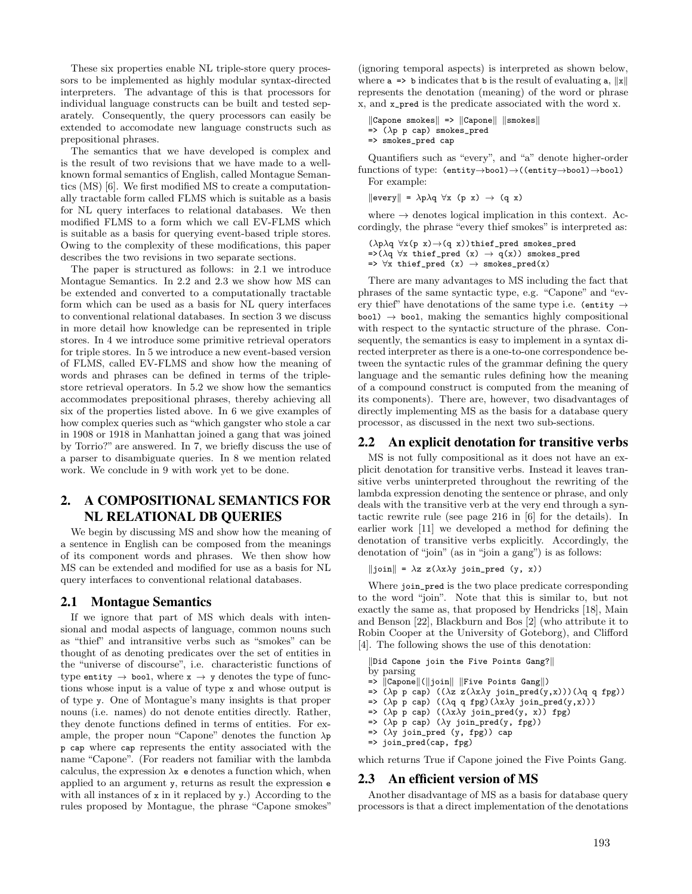These six properties enable NL triple-store query processors to be implemented as highly modular syntax-directed interpreters. The advantage of this is that processors for individual language constructs can be built and tested separately. Consequently, the query processors can easily be extended to accomodate new language constructs such as prepositional phrases.

The semantics that we have developed is complex and is the result of two revisions that we have made to a wellknown formal semantics of English, called Montague Semantics (MS) [6]. We first modified MS to create a computationally tractable form called FLMS which is suitable as a basis for NL query interfaces to relational databases. We then modified FLMS to a form which we call EV-FLMS which is suitable as a basis for querying event-based triple stores. Owing to the complexity of these modifications, this paper describes the two revisions in two separate sections.

The paper is structured as follows: in 2.1 we introduce Montague Semantics. In 2.2 and 2.3 we show how MS can be extended and converted to a computationally tractable form which can be used as a basis for NL query interfaces to conventional relational databases. In section 3 we discuss in more detail how knowledge can be represented in triple stores. In 4 we introduce some primitive retrieval operators for triple stores. In 5 we introduce a new event-based version of FLMS, called EV-FLMS and show how the meaning of words and phrases can be defined in terms of the triplestore retrieval operators. In 5.2 we show how the semantics accommodates prepositional phrases, thereby achieving all six of the properties listed above. In 6 we give examples of how complex queries such as "which gangster who stole a car in 1908 or 1918 in Manhattan joined a gang that was joined by Torrio?" are answered. In 7, we briefly discuss the use of a parser to disambiguate queries. In 8 we mention related work. We conclude in 9 with work yet to be done.

# 2. A COMPOSITIONAL SEMANTICS FOR NL RELATIONAL DB QUERIES

We begin by discussing MS and show how the meaning of a sentence in English can be composed from the meanings of its component words and phrases. We then show how MS can be extended and modified for use as a basis for NL query interfaces to conventional relational databases.

### 2.1 Montague Semantics

If we ignore that part of MS which deals with intensional and modal aspects of language, common nouns such as "thief" and intransitive verbs such as "smokes" can be thought of as denoting predicates over the set of entities in the "universe of discourse", i.e. characteristic functions of type entity  $\rightarrow$  bool, where  $x \rightarrow y$  denotes the type of functions whose input is a value of type x and whose output is of type y. One of Montague's many insights is that proper nouns (i.e. names) do not denote entities directly. Rather, they denote functions defined in terms of entities. For example, the proper noun "Capone" denotes the function  $\lambda p$ p cap where cap represents the entity associated with the name "Capone". (For readers not familiar with the lambda calculus, the expression  $\lambda x$  e denotes a function which, when applied to an argument y, returns as result the expression e with all instances of x in it replaced by y.) According to the rules proposed by Montague, the phrase "Capone smokes"

(ignoring temporal aspects) is interpreted as shown below, where  $a \Rightarrow b$  indicates that b is the result of evaluating  $a, ||x||$ represents the denotation (meaning) of the word or phrase x, and x\_pred is the predicate associated with the word x.

 $\|$ Capone smokes $\|$  =>  $\|$ Capone $\|$   $\|$ smokes $\|$  $\Rightarrow$  ( $\lambda$ p p cap) smokes\_pred => smokes\_pred cap

Quantifiers such as "every", and "a" denote higher-order functions of type:  $(\text{entity}\rightarrow \text{bool}) \rightarrow ((\text{entity}\rightarrow \text{bool}) \rightarrow \text{bool})$ For example:

 $\|\text{every}\| = \lambda p \lambda q \,\forall x \, (p \, x) \rightarrow (q \, x)$ 

where  $\rightarrow$  denotes logical implication in this context. Accordingly, the phrase "every thief smokes" is interpreted as:

 $\label{eq:Riccati} (\lambda p \lambda q \ \forall x (p \ x) \! \rightarrow \! (q \ x)) \text{thief\_pred} \text{smokes\_pred}$  $=\lambda(\lambda q \forall x \text{ their\_pred } (x) \rightarrow q(x))$  smokes\_pred  $\Rightarrow$   $\forall x$  thief\_pred (x)  $\rightarrow$  smokes\_pred(x)

There are many advantages to MS including the fact that phrases of the same syntactic type, e.g. "Capone" and "every thief" have denotations of the same type i.e. (entity  $\rightarrow$  $bool,$  making the semantics highly compositional with respect to the syntactic structure of the phrase. Consequently, the semantics is easy to implement in a syntax directed interpreter as there is a one-to-one correspondence between the syntactic rules of the grammar defining the query language and the semantic rules defining how the meaning of a compound construct is computed from the meaning of its components). There are, however, two disadvantages of directly implementing MS as the basis for a database query processor, as discussed in the next two sub-sections.

### 2.2 An explicit denotation for transitive verbs

MS is not fully compositional as it does not have an explicit denotation for transitive verbs. Instead it leaves transitive verbs uninterpreted throughout the rewriting of the lambda expression denoting the sentence or phrase, and only deals with the transitive verb at the very end through a syntactic rewrite rule (see page 216 in [6] for the details). In earlier work [11] we developed a method for defining the denotation of transitive verbs explicitly. Accordingly, the denotation of "join" (as in "join a gang") is as follows:

 $\|join\| = \lambda z \ z(\lambda x \lambda y \ join\_pred (y, x))$ 

Where join\_pred is the two place predicate corresponding to the word "join". Note that this is similar to, but not exactly the same as, that proposed by Hendricks [18], Main and Benson [22], Blackburn and Bos [2] (who attribute it to Robin Cooper at the University of Goteborg), and Clifford [4]. The following shows the use of this denotation:

|Did Capone join the Five Points Gang?||

- by parsing
- $=$   $\vert \vert$  Capone $\vert \vert$  ( $\vert \vert$ join $\vert \vert$  | Five Points Gang||)
- $\Rightarrow$  ( $\lambda$ p p cap) (( $\lambda$ z z( $\lambda$ x $\lambda$ y join\_pred(y,x)))( $\lambda$ q q fpg))
- => ( $\lambda$ p p cap) (( $\lambda$ q q fpg)( $\lambda$ x $\lambda$ y join\_pred(y,x)))  $\Rightarrow$  ( $\lambda$ p p cap) (( $\lambda$ x $\lambda$ y join\_pred(y, x)) fpg)
- $\Rightarrow$  ( $\lambda p$  p cap) ( $\lambda y$  join\_pred(y, fpg))
- $\Rightarrow$  ( $\lambda$ y join\_pred (y, fpg)) cap
- => join\_pred(cap, fpg)

which returns True if Capone joined the Five Points Gang.

### 2.3 An efficient version of MS

Another disadvantage of MS as a basis for database query processors is that a direct implementation of the denotations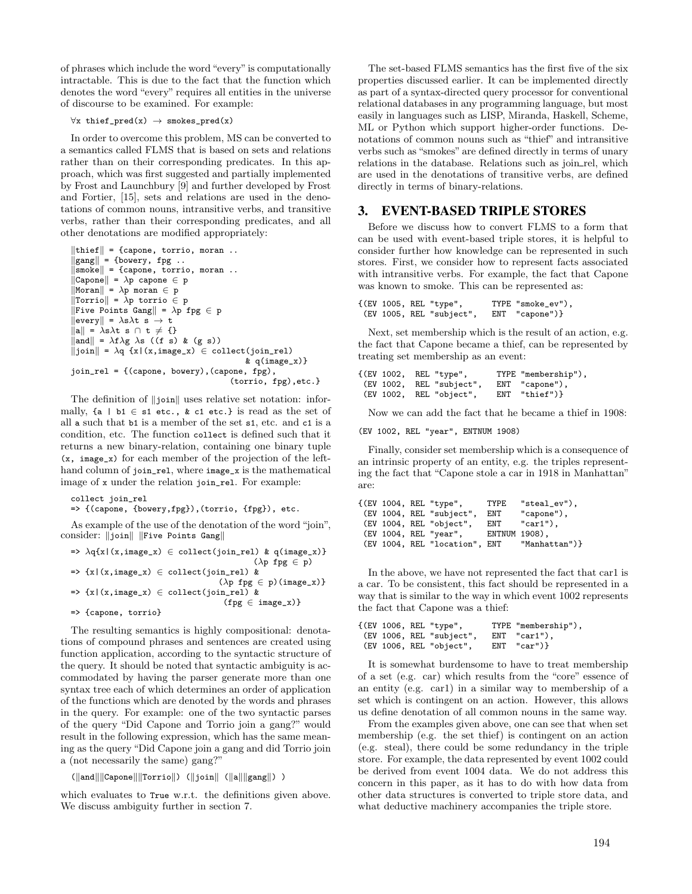of phrases which include the word "every"is computationally intractable. This is due to the fact that the function which denotes the word "every" requires all entities in the universe of discourse to be examined. For example:

#### $\forall x \text{ their\_pred}(x) \rightarrow \text{smokes\_pred}(x)$

In order to overcome this problem, MS can be converted to a semantics called FLMS that is based on sets and relations rather than on their corresponding predicates. In this approach, which was first suggested and partially implemented by Frost and Launchbury [9] and further developed by Frost and Fortier, [15], sets and relations are used in the denotations of common nouns, intransitive verbs, and transitive verbs, rather than their corresponding predicates, and all other denotations are modified appropriately:

```
|\text{third}| = {capone, torrio, moran }.\|\text{gang}\| = {bowery, fpg ..
\|\mathbf{s} \|\mathbf{s} = {capone, torrio, moran ..
 \|\texttt{Capone}\| = \lambda \bar{\texttt{p}} \texttt{capone} \in \bar{\texttt{p}}\|\text{Moran}\| = \lambda p moran \in p\|Torrio\| = \bar{\lambda}p torrio \in p
\|\texttt{Five Points} Gang\| = \lambda \hat{p} \texttt{fpg} \in p\|\text{every}\| = \lambda \text{s} \lambda \text{t} \ \text{s} \to \text{t}\|\mathbf{a}\| = \lambda \mathbf{s} \lambda \mathbf{t} \ \mathbf{s} \ \cap \ \mathbf{t} \neq \ \mathbf{0}\|\text{and}\| = \lambda f \lambda g \lambda s ((f s) & (g s))
\|join\| = \lambda q \{x|(x,image_x) \in collect(join_rel)\}\& q(\text{image}_x)join_rel = {(capone, bowery),(capone, fpg),
                                                               (torrio, fpg),etc.}
```
The definition of  $\|\mathbf{i} \cdot \mathbf{j}\|$  uses relative set notation: informally,  $\{a \mid b1 \in s1 \text{ etc.}, \& c1 \text{ etc.}\}$  is read as the set of all a such that b1 is a member of the set s1, etc. and c1 is a condition, etc. The function collect is defined such that it returns a new binary-relation, containing one binary tuple (x, image\_x) for each member of the projection of the lefthand column of join\_rel, where image\_x is the mathematical image of x under the relation join\_rel. For example:

```
collect join_rel
```
=> {(capone, {bowery,fpg}),(torrio, {fpg}), etc.

As example of the use of the denotation of the word "join". consider: ||join|| ||Five Points Gang||

```
\Rightarrow \lambdaq{x|(x,image_x) \in collect(join_rel) & q(image_x)}
                                                 (\lambda p fpg \in p)
\Rightarrow {x|(x,image_x) \in collect(join_rel) &
                                        (\lambda p \; fpg \in p)(image_x)}
\Rightarrow {x|(x,image_x) \in collect(join_rel) &
                                         (fpg \in image_x)=> {capone, torrio}
```
The resulting semantics is highly compositional: denotations of compound phrases and sentences are created using function application, according to the syntactic structure of the query. It should be noted that syntactic ambiguity is accommodated by having the parser generate more than one syntax tree each of which determines an order of application of the functions which are denoted by the words and phrases in the query. For example: one of the two syntactic parses of the query "Did Capone and Torrio join a gang?" would result in the following expression, which has the same meaning as the query "Did Capone join a gang and did Torrio join a (not necessarily the same) gang?"

```
(\Vert \text{and} \Vert \Vert \text{Capone} \Vert \Vert \text{Torrio} \Vert) (\Vert \text{join} \Vert (\Vert \text{a} \Vert \Vert \text{gang} \Vert) )
```
which evaluates to True w.r.t. the definitions given above. We discuss ambiguity further in section 7.

The set-based FLMS semantics has the first five of the six properties discussed earlier. It can be implemented directly as part of a syntax-directed query processor for conventional relational databases in any programming language, but most easily in languages such as LISP, Miranda, Haskell, Scheme, ML or Python which support higher-order functions. Denotations of common nouns such as "thief" and intransitive verbs such as "smokes" are defined directly in terms of unary relations in the database. Relations such as join rel, which are used in the denotations of transitive verbs, are defined directly in terms of binary-relations.

### 3. EVENT-BASED TRIPLE STORES

Before we discuss how to convert FLMS to a form that can be used with event-based triple stores, it is helpful to consider further how knowledge can be represented in such stores. First, we consider how to represent facts associated with intransitive verbs. For example, the fact that Capone was known to smoke. This can be represented as:

```
\{(EV 1005, REL "type", TYPE "smoke_ev"),<br>(EV 1005, REL "subiect", ENT "capone")}
 (EV 1005, REL "subject",
```
Next, set membership which is the result of an action, e.g. the fact that Capone became a thief, can be represented by treating set membership as an event:

```
{(EV 1002, REL "type", TYPE "membership"),
 (EV 1002, REL "subject", ENT "capone")<br>(EV 1002, REL "object", ENT "thief")}
              REL "object",
```
Now we can add the fact that he became a thief in 1908:

(EV 1002, REL "year", ENTNUM 1908)

Finally, consider set membership which is a consequence of an intrinsic property of an entity, e.g. the triples representing the fact that "Capone stole a car in 1918 in Manhattan" are:

|  |  | {(EV 1004, REL "type",        | TYPE          | " $steal\_ev$ "), |
|--|--|-------------------------------|---------------|-------------------|
|  |  | (EV 1004, REL "subject",      | ENT           | "capone"),        |
|  |  | (EV 1004, REL "object",       | ENT           | $"car1"$ ),       |
|  |  | (EV 1004, REL "year",         | ENTNUM 1908), |                   |
|  |  | (EV 1004, REL "location", ENT |               | "Manhattan")}     |
|  |  |                               |               |                   |

In the above, we have not represented the fact that car1 is a car. To be consistent, this fact should be represented in a way that is similar to the way in which event 1002 represents the fact that Capone was a thief:

```
{(EV 1006, REL "type", TYPE "membership"),
 (EV 1006, REL "subject", ENT "car1")<br>(EV 1006, REL "object", ENT "car")}
 (EV 1006, REL "object", ENT
```
It is somewhat burdensome to have to treat membership of a set (e.g. car) which results from the "core" essence of an entity (e.g. car1) in a similar way to membership of a set which is contingent on an action. However, this allows us define denotation of all common nouns in the same way.

From the examples given above, one can see that when set membership (e.g. the set thief) is contingent on an action (e.g. steal), there could be some redundancy in the triple store. For example, the data represented by event 1002 could be derived from event 1004 data. We do not address this concern in this paper, as it has to do with how data from other data structures is converted to triple store data, and what deductive machinery accompanies the triple store.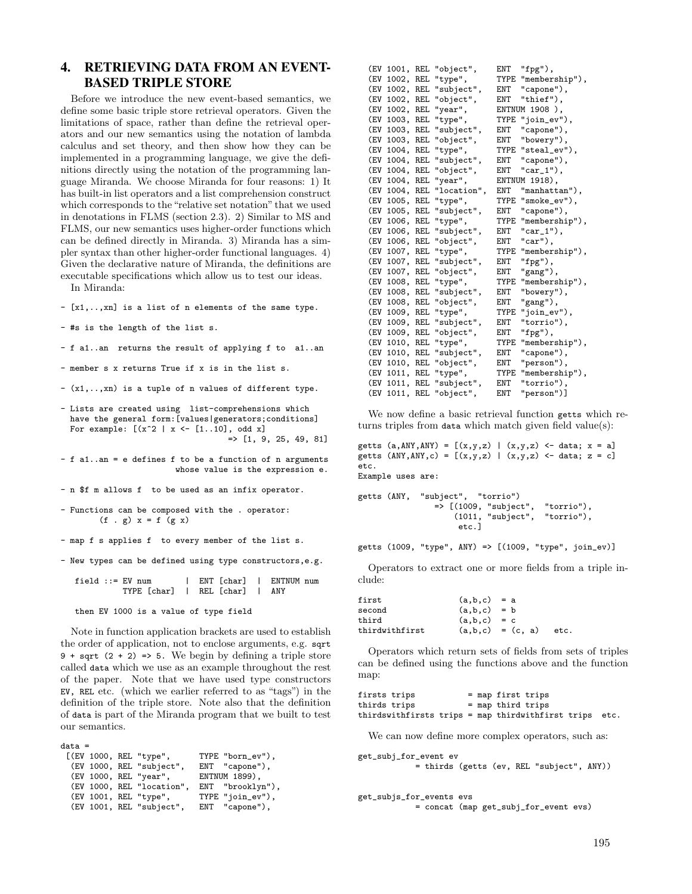### 4. RETRIEVING DATA FROM AN EVENT-BASED TRIPLE STORE

Before we introduce the new event-based semantics, we define some basic triple store retrieval operators. Given the limitations of space, rather than define the retrieval operators and our new semantics using the notation of lambda calculus and set theory, and then show how they can be implemented in a programming language, we give the definitions directly using the notation of the programming language Miranda. We choose Miranda for four reasons: 1) It has built-in list operators and a list comprehension construct which corresponds to the "relative set notation" that we used in denotations in FLMS (section 2.3). 2) Similar to MS and FLMS, our new semantics uses higher-order functions which can be defined directly in Miranda. 3) Miranda has a simpler syntax than other higher-order functional languages. 4) Given the declarative nature of Miranda, the definitions are executable specifications which allow us to test our ideas.

In Miranda:

- [x1,..,xn] is a list of n elements of the same type.
- #s is the length of the list s.
- f a1..an returns the result of applying f to a1..an
- member s x returns True if x is in the list s.
- (x1,..,xn) is a tuple of n values of different type.
- Lists are created using list-comprehensions which have the general form:[values|generators;conditions] For example:  $[(x^2 | x \leftarrow [1..10],$  odd x]  $=$  [1, 9, 25, 49, 81]
- f a1..an = e defines f to be a function of n arguments whose value is the expression e.
- n \$f m allows f to be used as an infix operator.
- Functions can be composed with the . operator: (f . g)  $x = f$  (g  $x$ )
- map f s applies f to every member of the list s.
- New types can be defined using type constructors,e.g.

field ::= EV num | ENT [char] | ENTNUM num TYPE [char] | REL [char] | ANY

then EV 1000 is a value of type field

Note in function application brackets are used to establish the order of application, not to enclose arguments, e.g. sqrt 9 + sqrt  $(2 + 2)$  => 5. We begin by defining a triple store called data which we use as an example throughout the rest of the paper. Note that we have used type constructors EV, REL etc. (which we earlier referred to as "tags") in the definition of the triple store. Note also that the definition of data is part of the Miranda program that we built to test our semantics.

```
data =
 [(EV 1000, REL "type", TYPE "born_ev"),<br>(EV 1000, REL "subject", ENT "capone"),
   (EV 1000, REL "subject", ENT "capone")<br>(EV 1000, REL "year", ENTNUM 1899),
   (EV 1000, REL "year", ENTNUM 1899),<br>(EV 1000, REL "location", ENT "brooklyn"),
   % (EV 1000, REL "location", ENT "brooklyn")<br>(EV 1001, REL "type", TYPE "join_ev"),
   (EV 1001, REL "type", TYPE "join_ev")<br>(EV 1001, REL "subject", ENT "capone"),
   (EV 1001, REL "subject",
```

| (EV | 1001,     | REL | "object",   | ENT  | "fpg"),        |
|-----|-----------|-----|-------------|------|----------------|
| (EV | 1002,     | REL | "type",     | TYPE | "membership"), |
| (EV | 1002,     | REL | "subject",  | ENT  | "capone"),     |
| (EV | 1002,     | REL | "object",   | ENT  | "thief"),      |
| (EV | 1002,     | REL | "year",     |      | ENTNUM 1908 ), |
| (EV | 1003,     | REL | "type",     | TYPE | "join_ev"),    |
| (EV | 1003,     | REL | "subject",  | ENT  | "capone"),     |
| (EV | 1003,     | REL | "object",   | ENT  | "bowery"),     |
| (EV | 1004,     | REL | "type",     | TYPE | "steal_ev"),   |
| (EV | 1004.     | REL | "subject",  | ENT  | "capone"),     |
| (EV | 1004,     | REL | "object",   | ENT  | $"car_1"$ ,    |
| (EV | 1004,     | REL | "year",     |      | ENTNUM 1918),  |
| (EV | 1004.     | REL | "location", | ENT  | "manhattan"),  |
| (EV | 1005,     | REL | "type",     | TYPE | "smoke_ev"),   |
| (EV | 1005.     | REL | "subject",  | ENT  | "capone"),     |
| (EV | 1006,     | REL | "type",     | TYPE | "membership"), |
| (EV | 1006,     | REL | "subject",  | ENT  | $"car_1"$ ),   |
| (EV | 1006,     | REL | "object",   | ENT  | $"car")$ ,     |
| (EV | 1007, REL |     | "type",     | TYPE | "membership"), |
| (EV | 1007,     | REL | "subject",  | ENT  | "fpg"),        |
| (EV | 1007,     | REL | "object",   | ENT  | "gang"),       |
| (EV | 1008,     | REL | "type",     | TYPE | "membership"), |
| (EV | 1008.     | REL | "subject",  | ENT  | "bowery"),     |
| (EV | 1008,     | REL | "object",   | ENT  | "gang"),       |
| (EV | 1009,     | REL | "type",     | TYPE | "join_ev"),    |
| (EV | 1009,     | REL | "subject",  | ENT  | "torrio"),     |
| (EV | 1009,     | REL | "object",   | ENT  | "fpg"),        |
| (EV | 1010,     | REL | "type",     | TYPE | "membership"), |
| (EV | 1010,     | REL | "subject",  | ENT  | "capone"),     |
| (EV | 1010,     | REL | "object",   | ENT  | "person"),     |
| (EV | 1011,     | REL | "type",     | TYPE | "membership"), |
| (EV | 1011,     | REL | "subject",  | ENT  | "torrio"),     |
| (EV | 1011,     | REL | "object",   | ENT  | "person")]     |

We now define a basic retrieval function getts which returns triples from data which match given field value(s):

```
getts (a, ANY, ANY) = [(x, y, z) | (x, y, z) <- data; x = a]getts (ANY, ANY, c) = [(x, y, z) | (x, y, z) <- data; z = c]
etc.
Example uses are:
```

```
getts (ANY, "subject", "torrio")
               => [(1009, "subject", "torrio"),
                   (1011, "subject",etc.]
```
getts (1009, "type", ANY) => [(1009, "type", join\_ev)]

Operators to extract one or more fields from a triple include:

| first          | $(a,b,c) = a$ |                      |      |
|----------------|---------------|----------------------|------|
| second         | $(a,b,c) = b$ |                      |      |
| third          | $(a,b,c) = c$ |                      |      |
| thirdwithfirst |               | $(a, b, c) = (c, a)$ | etc. |

Operators which return sets of fields from sets of triples can be defined using the functions above and the function map:

firsts trips = map first trips<br>thirds trips = map third trips  $=$  map third trips thirdswithfirsts trips = map thirdwithfirst trips etc.

We can now define more complex operators, such as:

```
get_subj_for_event ev
            = thirds (getts (ev, REL "subject", ANY))
```
get\_subjs\_for\_events evs = concat (map get\_subj\_for\_event evs)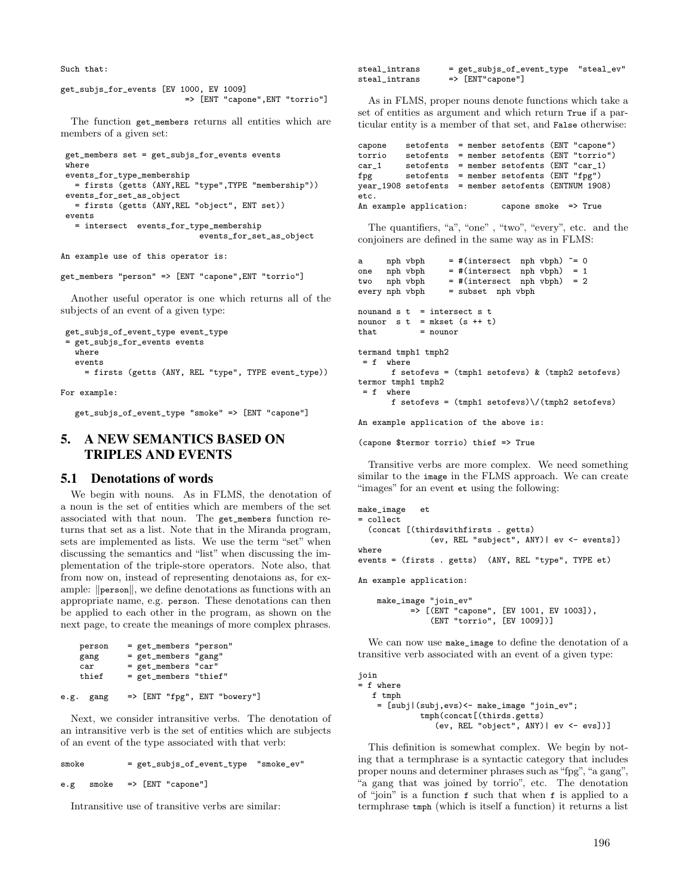Such that:

```
get_subjs_for_events [EV 1000, EV 1009]
                          => [ENT "capone",ENT "torrio"]
```
The function get\_members returns all entities which are members of a given set:

```
get_members set = get_subjs_for_events events
where
events_for_type_membership
  = firsts (getts (ANY,REL "type",TYPE "membership"))
events for set as object
  = firsts (getts (ANY,REL "object", ENT set))
events
  = intersect events_for_type_membership
                            events_for_set_as_object
```
An example use of this operator is:

```
get_members "person" => [ENT "capone",ENT "torrio"]
```
Another useful operator is one which returns all of the subjects of an event of a given type:

```
get_subjs_of_event_type event_type
= get_subjs_for_events events
  where
  events
    = firsts (getts (ANY, REL "type", TYPE event_type))
```
For example:

get\_subjs\_of\_event\_type "smoke" => [ENT "capone"]

### 5. A NEW SEMANTICS BASED ON TRIPLES AND EVENTS

#### 5.1 Denotations of words

We begin with nouns. As in FLMS, the denotation of a noun is the set of entities which are members of the set associated with that noun. The get\_members function returns that set as a list. Note that in the Miranda program, sets are implemented as lists. We use the term "set" when discussing the semantics and "list" when discussing the implementation of the triple-store operators. Note also, that from now on, instead of representing denotaions as, for example:  $\|\text{person}\|$ , we define denotations as functions with an appropriate name, e.g. person. These denotations can then be applied to each other in the program, as shown on the next page, to create the meanings of more complex phrases.

```
person = get\_members "person"<br>
F = get members "range"get_members "gang'
     car = get\_members "car"<br>thief = get members "thie
                  = get_members "thief"
e.g. gang => [ENT "fpg", ENT "bowery"]
```
Next, we consider intransitive verbs. The denotation of an intransitive verb is the set of entities which are subjects of an event of the type associated with that verb:

smoke = get\_subjs\_of\_event\_type "smoke\_ev" e.g smoke => [ENT "capone"]

Intransitive use of transitive verbs are similar:

steal\_intrans = get\_subjs\_of\_event\_type "steal\_ev" steal\_intrans => [ENT"capone"]

As in FLMS, proper nouns denote functions which take a set of entities as argument and which return True if a particular entity is a member of that set, and False otherwise:

```
capone setofents = member setofents (ENT "capone")
         set ofents = member set ofents (ENT "torrio")car_1 setofents = member setofents (ENT "car_1)
fpg setofents = member setofents (ENT "fpg")
year_1908 setofents = member setofents (ENTNUM 1908)
etc.
An example application: capone smoke => True
```
The quantifiers, "a", "one" , "two", "every", etc. and the conjoiners are defined in the same way as in FLMS:

```
a nph vbph = \#(intersect nph vbph) \tilde{=} 0one nph vbph = \#(intersect nph vbph) = 1<br>two nph vbph = \#(intersect nph vbph) = 2
two nph vbph = \#(intersect nph vbph) = 2
every nph vbph = subset nph vbph
nounand s t = intersect s tnounor s t = mkset (s + t)
that = nounor
termand tmph1 tmph2
 = f where
       f setofevs = (tmph1 setofevs) & (tmph2 setofevs)
termor tmph1 tmph2
 = f where
       f setofevs = (tmph1 setofevs) \ \/(tmph2 setofevs)
```
An example application of the above is:

```
(capone $termor torrio) thief => True
```
Transitive verbs are more complex. We need something similar to the image in the FLMS approach. We can create "images" for an event et using the following:

```
make_image et
= collect
  (concat [(thirdswithfirsts . getts)
               (ev, REL "subject", ANY)| ev <- events])
where
events = (firsts . getts) (ANY, REL "type", TYPE et)
An example application:
    make_image "join_ev"
```

```
=> [(ENT "capone", [EV 1001, EV 1003]),
   (ENT "torrio", [EV 1009])]
```
We can now use make\_image to define the denotation of a transitive verb associated with an event of a given type:

```
join
= f where
  f tmph
    = [subj|(subj,evs)<- make_image "join_ev";
             tmph(concat[(thirds.getts)
                (ev, REL "object", ANY)| ev <- evs])]
```
This definition is somewhat complex. We begin by noting that a termphrase is a syntactic category that includes proper nouns and determiner phrases such as "fpg", "a gang", "a gang that was joined by torrio", etc. The denotation of "join" is a function f such that when f is applied to a termphrase tmph (which is itself a function) it returns a list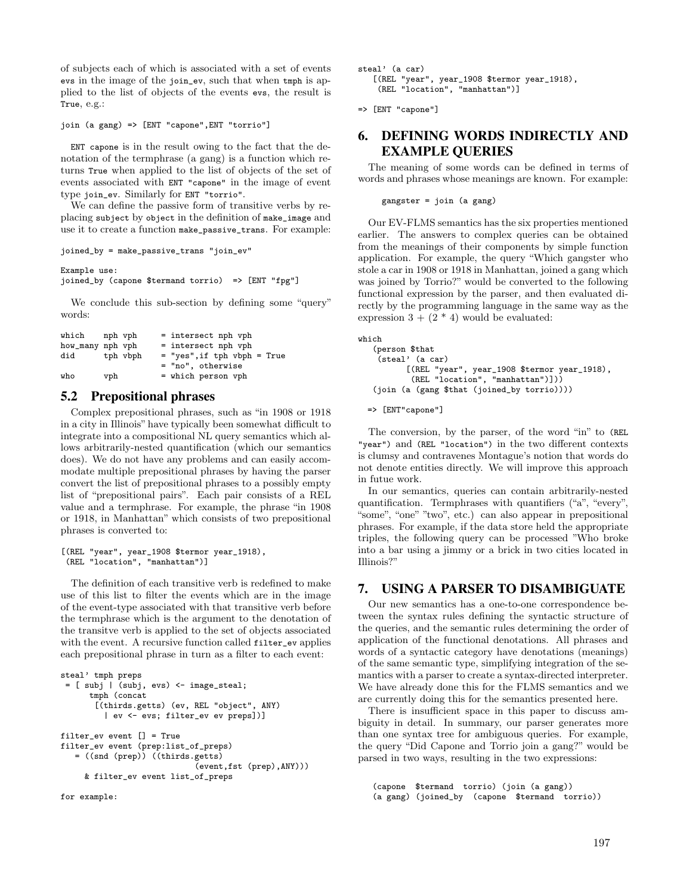of subjects each of which is associated with a set of events evs in the image of the join\_ev, such that when tmph is applied to the list of objects of the events evs, the result is True, e.g.:

```
join (a gang) => [ENT "capone",ENT "torrio"]
```
ENT capone is in the result owing to the fact that the denotation of the termphrase (a gang) is a function which returns True when applied to the list of objects of the set of events associated with ENT "capone" in the image of event type join\_ev. Similarly for ENT "torrio".

We can define the passive form of transitive verbs by replacing subject by object in the definition of make\_image and use it to create a function make\_passive\_trans. For example:

```
joined_by = make_passive_trans "join_ev"
```
#### Example use:

```
joined_by (capone $termand torrio) => [ENT "fpg"]
```
We conclude this sub-section by defining some "query" words:

| which nph vph    |     |          | = intersect nph vph         |
|------------------|-----|----------|-----------------------------|
| how_many nph vph |     |          | = intersect nph vph         |
| did              |     | tph vbph | = "yes", if tph vbph = True |
|                  |     |          | = "no", otherwise           |
| who              | vph |          | = which person vph          |

# 5.2 Prepositional phrases

Complex prepositional phrases, such as "in 1908 or 1918 in a city in Illinois" have typically been somewhat difficult to integrate into a compositional NL query semantics which allows arbitrarily-nested quantification (which our semantics does). We do not have any problems and can easily accommodate multiple prepositional phrases by having the parser convert the list of prepositional phrases to a possibly empty list of "prepositional pairs". Each pair consists of a REL value and a termphrase. For example, the phrase "in 1908 or 1918, in Manhattan" which consists of two prepositional phrases is converted to:

```
[(REL "year", year_1908 $termor year_1918),
(REL "location", "manhattan")]
```
The definition of each transitive verb is redefined to make use of this list to filter the events which are in the image of the event-type associated with that transitive verb before the termphrase which is the argument to the denotation of the transitve verb is applied to the set of objects associated with the event. A recursive function called filter\_ev applies each prepositional phrase in turn as a filter to each event:

```
steal' tmph preps
 = [ subj | (subj, evs) \le image_steal;
      tmph (concat
       [(thirds.getts) (ev, REL "object", ANY)
         | ev <- evs; filter_ev ev preps])]
filter_ev event [] = True
filter_ev event (prep:list_of_preps)
   = ((snd (prep)) ((thirds.getts)
                             (event,fst (prep),ANY)))
     & filter_ev event list_of_preps
```

```
for example:
```
steal' (a car) [(REL "year", year\_1908 \$termor year\_1918), (REL "location", "manhattan")]

```
=> [ENT "capone"]
```
# 6. DEFINING WORDS INDIRECTLY AND EXAMPLE QUERIES

The meaning of some words can be defined in terms of words and phrases whose meanings are known. For example:

```
gangster = join (a gang)
```
Our EV-FLMS semantics has the six properties mentioned earlier. The answers to complex queries can be obtained from the meanings of their components by simple function application. For example, the query "Which gangster who stole a car in 1908 or 1918 in Manhattan, joined a gang which was joined by Torrio?" would be converted to the following functional expression by the parser, and then evaluated directly by the programming language in the same way as the expression  $3 + (2 * 4)$  would be evaluated:

```
which
   (person $that
    (steal' (a car)
          [(REL "year", year_1908 $termor year_1918),
           (REL "location", "manhattan")]))
   (join (a (gang $that (joined_by torrio))))
```
=> [ENT"capone"]

The conversion, by the parser, of the word "in" to (REL "year") and (REL "location") in the two different contexts is clumsy and contravenes Montague's notion that words do not denote entities directly. We will improve this approach in futue work.

In our semantics, queries can contain arbitrarily-nested quantification. Termphrases with quantifiers ("a", "every", "some", "one" "two", etc.) can also appear in prepositional phrases. For example, if the data store held the appropriate triples, the following query can be processed "Who broke into a bar using a jimmy or a brick in two cities located in Illinois?"

### 7. USING A PARSER TO DISAMBIGUATE

Our new semantics has a one-to-one correspondence between the syntax rules defining the syntactic structure of the queries, and the semantic rules determining the order of application of the functional denotations. All phrases and words of a syntactic category have denotations (meanings) of the same semantic type, simplifying integration of the semantics with a parser to create a syntax-directed interpreter. We have already done this for the FLMS semantics and we are currently doing this for the semantics presented here.

There is insufficient space in this paper to discuss ambiguity in detail. In summary, our parser generates more than one syntax tree for ambiguous queries. For example, the query "Did Capone and Torrio join a gang?" would be parsed in two ways, resulting in the two expressions:

(capone \$termand torrio) (join (a gang)) (a gang) (joined\_by (capone \$termand torrio))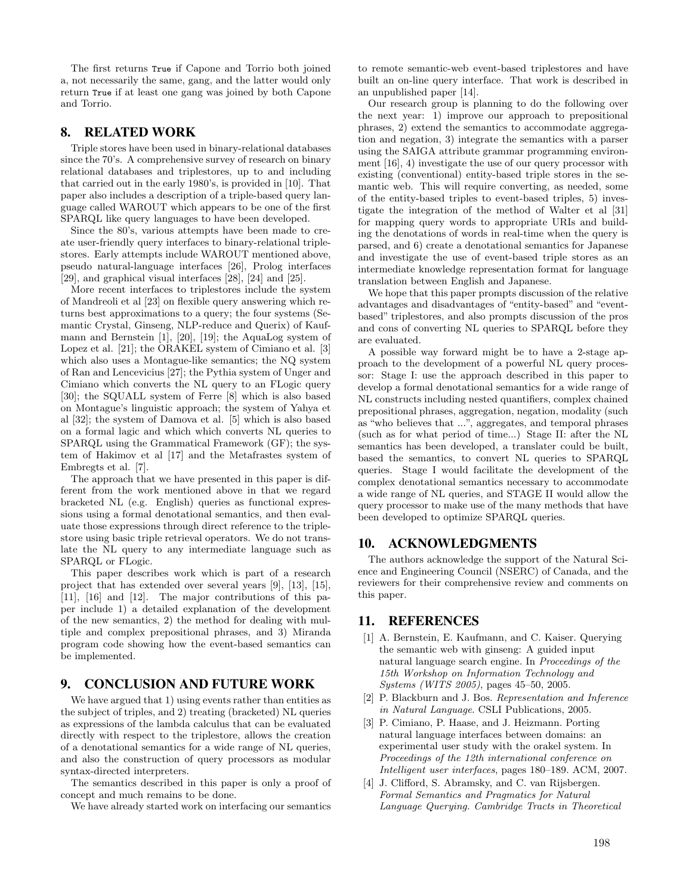The first returns True if Capone and Torrio both joined a, not necessarily the same, gang, and the latter would only return True if at least one gang was joined by both Capone and Torrio.

### 8. RELATED WORK

Triple stores have been used in binary-relational databases since the 70's. A comprehensive survey of research on binary relational databases and triplestores, up to and including that carried out in the early 1980's, is provided in [10]. That paper also includes a description of a triple-based query language called WAROUT which appears to be one of the first SPARQL like query languages to have been developed.

Since the 80's, various attempts have been made to create user-friendly query interfaces to binary-relational triplestores. Early attempts include WAROUT mentioned above, pseudo natural-language interfaces [26], Prolog interfaces [29], and graphical visual interfaces [28], [24] and [25].

More recent interfaces to triplestores include the system of Mandreoli et al [23] on flexible query answering which returns best approximations to a query; the four systems (Semantic Crystal, Ginseng, NLP-reduce and Querix) of Kaufmann and Bernstein [1], [20], [19]; the AquaLog system of Lopez et al. [21]; the ORAKEL system of Cimiano et al. [3] which also uses a Montague-like semantics; the NQ system of Ran and Lencevicius [27]; the Pythia system of Unger and Cimiano which converts the NL query to an FLogic query [30]; the SQUALL system of Ferre [8] which is also based on Montague's linguistic approach; the system of Yahya et al [32]; the system of Damova et al. [5] which is also based on a formal lagic and which which converts NL queries to SPARQL using the Grammatical Framework (GF); the system of Hakimov et al [17] and the Metafrastes system of Embregts et al. [7].

The approach that we have presented in this paper is different from the work mentioned above in that we regard bracketed NL (e.g. English) queries as functional expressions using a formal denotational semantics, and then evaluate those expressions through direct reference to the triplestore using basic triple retrieval operators. We do not translate the NL query to any intermediate language such as SPARQL or FLogic.

This paper describes work which is part of a research project that has extended over several years [9], [13], [15], [11], [16] and [12]. The major contributions of this paper include 1) a detailed explanation of the development of the new semantics, 2) the method for dealing with multiple and complex prepositional phrases, and 3) Miranda program code showing how the event-based semantics can be implemented.

### 9. CONCLUSION AND FUTURE WORK

We have argued that 1) using events rather than entities as the subject of triples, and 2) treating (bracketed) NL queries as expressions of the lambda calculus that can be evaluated directly with respect to the triplestore, allows the creation of a denotational semantics for a wide range of NL queries, and also the construction of query processors as modular syntax-directed interpreters.

The semantics described in this paper is only a proof of concept and much remains to be done.

We have already started work on interfacing our semantics

to remote semantic-web event-based triplestores and have built an on-line query interface. That work is described in an unpublished paper [14].

Our research group is planning to do the following over the next year: 1) improve our approach to prepositional phrases, 2) extend the semantics to accommodate aggregation and negation, 3) integrate the semantics with a parser using the SAIGA attribute grammar programming environment [16], 4) investigate the use of our query processor with existing (conventional) entity-based triple stores in the semantic web. This will require converting, as needed, some of the entity-based triples to event-based triples, 5) investigate the integration of the method of Walter et al [31] for mapping query words to appropriate URIs and building the denotations of words in real-time when the query is parsed, and 6) create a denotational semantics for Japanese and investigate the use of event-based triple stores as an intermediate knowledge representation format for language translation between English and Japanese.

We hope that this paper prompts discussion of the relative advantages and disadvantages of "entity-based" and "eventbased" triplestores, and also prompts discussion of the pros and cons of converting NL queries to SPARQL before they are evaluated.

A possible way forward might be to have a 2-stage approach to the development of a powerful NL query processor: Stage I: use the approach described in this paper to develop a formal denotational semantics for a wide range of NL constructs including nested quantifiers, complex chained prepositional phrases, aggregation, negation, modality (such as "who believes that ...", aggregates, and temporal phrases (such as for what period of time...) Stage II: after the NL semantics has been developed, a translater could be built, based the semantics, to convert NL queries to SPARQL queries. Stage I would facilitate the development of the complex denotational semantics necessary to accommodate a wide range of NL queries, and STAGE II would allow the query processor to make use of the many methods that have been developed to optimize SPARQL queries.

#### 10. ACKNOWLEDGMENTS

The authors acknowledge the support of the Natural Science and Engineering Council (NSERC) of Canada, and the reviewers for their comprehensive review and comments on this paper.

### 11. REFERENCES

- [1] A. Bernstein, E. Kaufmann, and C. Kaiser. Querying the semantic web with ginseng: A guided input natural language search engine. In *Proceedings of the 15th Workshop on Information Technology and Systems (WITS 2005)*, pages 45–50, 2005.
- [2] P. Blackburn and J. Bos. *Representation and Inference in Natural Language*. CSLI Publications, 2005.
- [3] P. Cimiano, P. Haase, and J. Heizmann. Porting natural language interfaces between domains: an experimental user study with the orakel system. In *Proceedings of the 12th international conference on Intelligent user interfaces*, pages 180–189. ACM, 2007.
- [4] J. Clifford, S. Abramsky, and C. van Rijsbergen. *Formal Semantics and Pragmatics for Natural Language Querying. Cambridge Tracts in Theoretical*